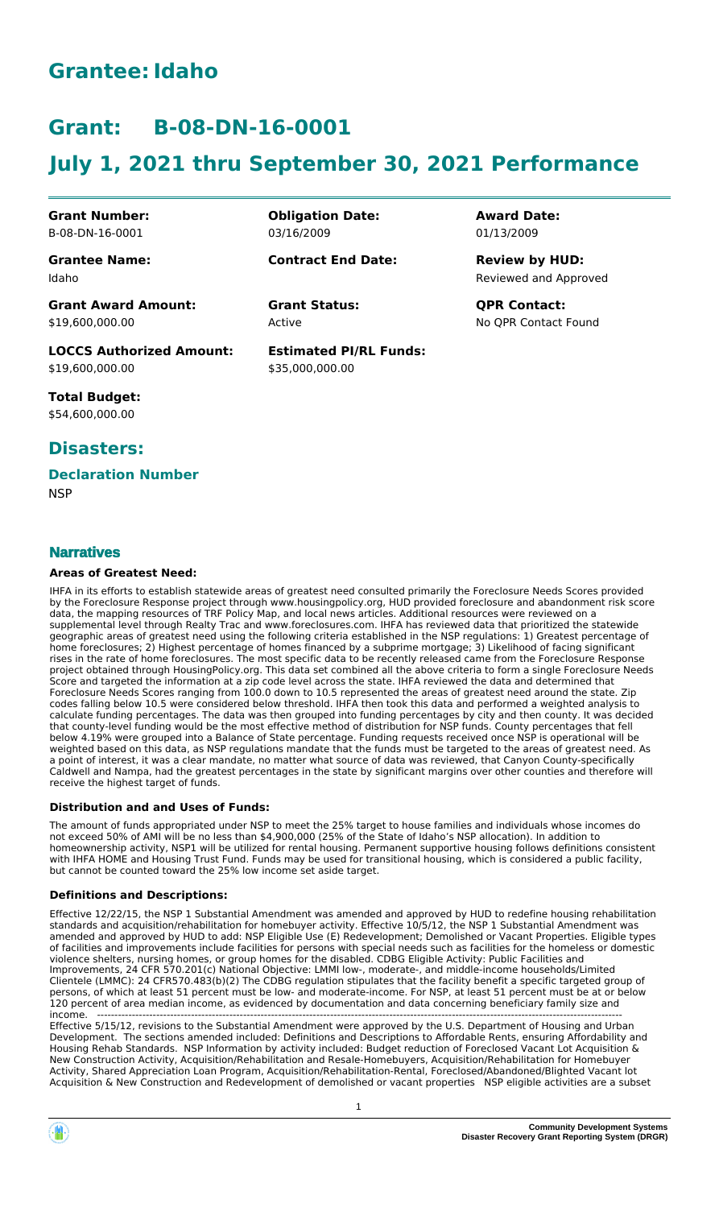# **Grantee:Idaho**

# **Grant: B-08-DN-16-0001**

# **July 1, 2021 thru September 30, 2021 Performance**

**Obligation Date:**

**Contract End Date:**

03/16/2009

Active

**Estimated PI/RL Funds:**

\$35,000,000.00

**Grant Number:** B-08-DN-16-0001

**Grantee Name:** Idaho

**Grant Award Amount:** \$19,600,000.00

**LOCCS Authorized Amount:** \$19,600,000.00

**Total Budget:** \$54,600,000.00

## **Disasters:**

# **Declaration Number**

**NSP** 

## **Narratives**

#### **Areas of Greatest Need:**

IHFA in its efforts to establish statewide areas of greatest need consulted primarily the Foreclosure Needs Scores provided by the Foreclosure Response project through www.housingpolicy.org, HUD provided foreclosure and abandonment risk score data, the mapping resources of TRF Policy Map, and local news articles. Additional resources were reviewed on a supplemental level through Realty Trac and www.foreclosures.com. IHFA has reviewed data that prioritized the statewide geographic areas of greatest need using the following criteria established in the NSP regulations: 1) Greatest percentage of home foreclosures; 2) Highest percentage of homes financed by a subprime mortgage; 3) Likelihood of facing significant rises in the rate of home foreclosures. The most specific data to be recently released came from the Foreclosure Response project obtained through HousingPolicy.org. This data set combined all the above criteria to form a single Foreclosure Needs Score and targeted the information at a zip code level across the state. IHFA reviewed the data and determined that Foreclosure Needs Scores ranging from 100.0 down to 10.5 represented the areas of greatest need around the state. Zip codes falling below 10.5 were considered below threshold. IHFA then took this data and performed a weighted analysis to calculate funding percentages. The data was then grouped into funding percentages by city and then county. It was decided that county-level funding would be the most effective method of distribution for NSP funds. County percentages that fell below 4.19% were grouped into a Balance of State percentage. Funding requests received once NSP is operational will be weighted based on this data, as NSP regulations mandate that the funds must be targeted to the areas of greatest need. As a point of interest, it was a clear mandate, no matter what source of data was reviewed, that Canyon County-specifically Caldwell and Nampa, had the greatest percentages in the state by significant margins over other counties and therefore will receive the highest target of funds.

#### **Distribution and and Uses of Funds:**

The amount of funds appropriated under NSP to meet the 25% target to house families and individuals whose incomes do not exceed 50% of AMI will be no less than \$4,900,000 (25% of the State of Idaho's NSP allocation). In addition to homeownership activity, NSP1 will be utilized for rental housing. Permanent supportive housing follows definitions consistent with IHFA HOME and Housing Trust Fund. Funds may be used for transitional housing, which is considered a public facility, but cannot be counted toward the 25% low income set aside target.

#### **Definitions and Descriptions:**

Effective 12/22/15, the NSP 1 Substantial Amendment was amended and approved by HUD to redefine housing rehabilitation standards and acquisition/rehabilitation for homebuyer activity. Effective 10/5/12, the NSP 1 Substantial Amendment was amended and approved by HUD to add: NSP Eligible Use (E) Redevelopment; Demolished or Vacant Properties. Eligible types of facilities and improvements include facilities for persons with special needs such as facilities for the homeless or domestic violence shelters, nursing homes, or group homes for the disabled. CDBG Eligible Activity: Public Facilities and Improvements, 24 CFR 570.201(c) National Objective: LMMI low-, moderate-, and middle-income households/Limited Clientele (LMMC): 24 CFR570.483(b)(2) The CDBG regulation stipulates that the facility benefit a specific targeted group of persons, of which at least 51 percent must be low- and moderate-income. For NSP, at least 51 percent must be at or below 120 percent of area median income, as evidenced by documentation and data concerning beneficiary family size and income. -------------------------------------------------------------------------------------------------------------------------------------------------------

Effective 5/15/12, revisions to the Substantial Amendment were approved by the U.S. Department of Housing and Urban Development. The sections amended included: Definitions and Descriptions to Affordable Rents, ensuring Affordability and Housing Rehab Standards. NSP Information by activity included: Budget reduction of Foreclosed Vacant Lot Acquisition & New Construction Activity, Acquisition/Rehabilitation and Resale-Homebuyers, Acquisition/Rehabilitation for Homebuyer Activity, Shared Appreciation Loan Program, Acquisition/Rehabilitation-Rental, Foreclosed/Abandoned/Blighted Vacant lot Acquisition & New Construction and Redevelopment of demolished or vacant properties NSP eligible activities are a subset

# **Award Date:** 01/13/2009

Reviewed and Approved **Review by HUD:**

**Grant Status: QPR Contact:** No QPR Contact Found

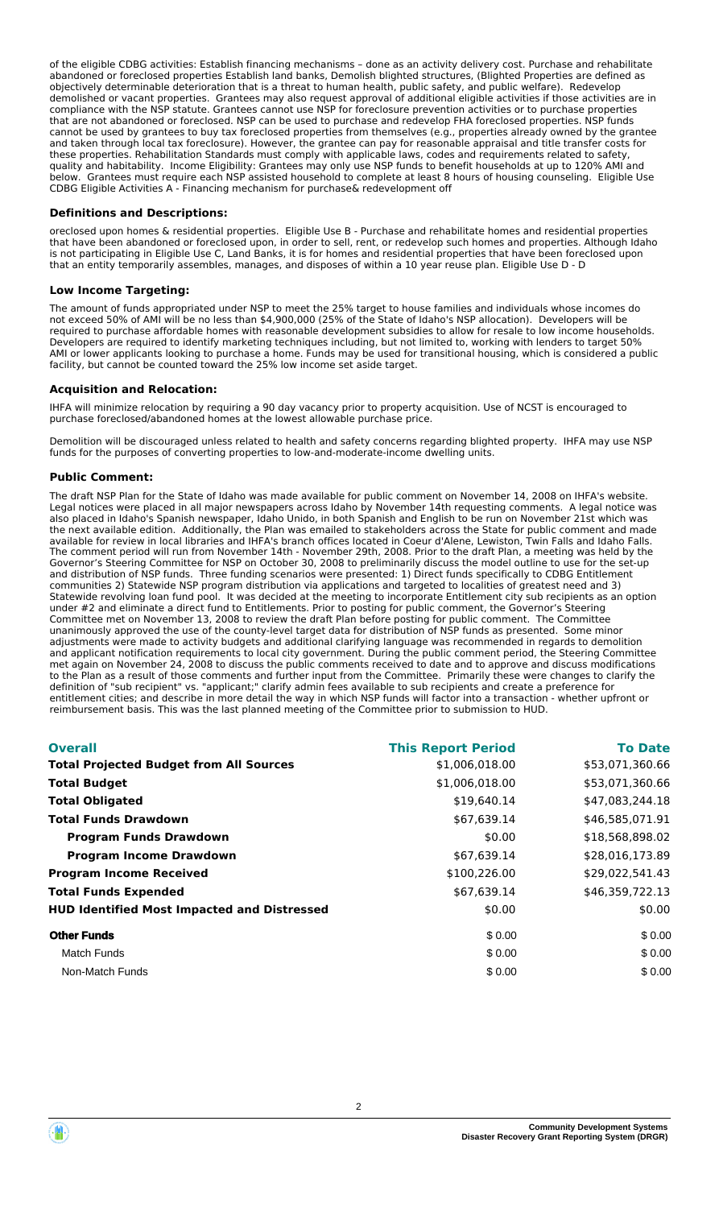of the eligible CDBG activities: Establish financing mechanisms – done as an activity delivery cost. Purchase and rehabilitate abandoned or foreclosed properties Establish land banks, Demolish blighted structures, (Blighted Properties are defined as objectively determinable deterioration that is a threat to human health, public safety, and public welfare). Redevelop demolished or vacant properties. Grantees may also request approval of additional eligible activities if those activities are in compliance with the NSP statute. Grantees cannot use NSP for foreclosure prevention activities or to purchase properties that are not abandoned or foreclosed. NSP can be used to purchase and redevelop FHA foreclosed properties. NSP funds cannot be used by grantees to buy tax foreclosed properties from themselves (e.g., properties already owned by the grantee and taken through local tax foreclosure). However, the grantee can pay for reasonable appraisal and title transfer costs for these properties. Rehabilitation Standards must comply with applicable laws, codes and requirements related to safety, quality and habitability. Income Eligibility: Grantees may only use NSP funds to benefit households at up to 120% AMI and below. Grantees must require each NSP assisted household to complete at least 8 hours of housing counseling. Eligible Use CDBG Eligible Activities A - Financing mechanism for purchase& redevelopment off

#### **Definitions and Descriptions:**

oreclosed upon homes & residential properties. Eligible Use B - Purchase and rehabilitate homes and residential properties that have been abandoned or foreclosed upon, in order to sell, rent, or redevelop such homes and properties. Although Idaho is not participating in Eligible Use C, Land Banks, it is for homes and residential properties that have been foreclosed upon that an entity temporarily assembles, manages, and disposes of within a 10 year reuse plan. Eligible Use D - D

#### **Low Income Targeting:**

The amount of funds appropriated under NSP to meet the 25% target to house families and individuals whose incomes do not exceed 50% of AMI will be no less than \$4,900,000 (25% of the State of Idaho's NSP allocation). Developers will be required to purchase affordable homes with reasonable development subsidies to allow for resale to low income households. Developers are required to identify marketing techniques including, but not limited to, working with lenders to target 50% AMI or lower applicants looking to purchase a home. Funds may be used for transitional housing, which is considered a public facility, but cannot be counted toward the 25% low income set aside target.

#### **Acquisition and Relocation:**

IHFA will minimize relocation by requiring a 90 day vacancy prior to property acquisition. Use of NCST is encouraged to purchase foreclosed/abandoned homes at the lowest allowable purchase price.

Demolition will be discouraged unless related to health and safety concerns regarding blighted property. IHFA may use NSP funds for the purposes of converting properties to low-and-moderate-income dwelling units.

#### **Public Comment:**

The draft NSP Plan for the State of Idaho was made available for public comment on November 14, 2008 on IHFA's website. Legal notices were placed in all major newspapers across Idaho by November 14th requesting comments. A legal notice was also placed in Idaho's Spanish newspaper, Idaho Unido, in both Spanish and English to be run on November 21st which was the next available edition. Additionally, the Plan was emailed to stakeholders across the State for public comment and made available for review in local libraries and IHFA's branch offices located in Coeur d'Alene, Lewiston, Twin Falls and Idaho Falls. The comment period will run from November 14th - November 29th, 2008. Prior to the draft Plan, a meeting was held by the Governor's Steering Committee for NSP on October 30, 2008 to preliminarily discuss the model outline to use for the set-up and distribution of NSP funds. Three funding scenarios were presented: 1) Direct funds specifically to CDBG Entitlement communities 2) Statewide NSP program distribution via applications and targeted to localities of greatest need and 3) Statewide revolving loan fund pool. It was decided at the meeting to incorporate Entitlement city sub recipients as an option under #2 and eliminate a direct fund to Entitlements. Prior to posting for public comment, the Governor's Steering Committee met on November 13, 2008 to review the draft Plan before posting for public comment. The Committee unanimously approved the use of the county-level target data for distribution of NSP funds as presented. Some minor adjustments were made to activity budgets and additional clarifying language was recommended in regards to demolition and applicant notification requirements to local city government. During the public comment period, the Steering Committee met again on November 24, 2008 to discuss the public comments received to date and to approve and discuss modifications to the Plan as a result of those comments and further input from the Committee. Primarily these were changes to clarify the definition of "sub recipient" vs. "applicant;" clarify admin fees available to sub recipients and create a preference for entitlement cities; and describe in more detail the way in which NSP funds will factor into a transaction - whether upfront or reimbursement basis. This was the last planned meeting of the Committee prior to submission to HUD.

| <b>Overall</b>                                     | <b>This Report Period</b> | <b>To Date</b>  |
|----------------------------------------------------|---------------------------|-----------------|
| <b>Total Projected Budget from All Sources</b>     | \$1,006,018.00            | \$53,071,360.66 |
| <b>Total Budget</b>                                | \$1,006,018.00            | \$53,071,360.66 |
| <b>Total Obligated</b>                             | \$19,640.14               | \$47,083,244.18 |
| <b>Total Funds Drawdown</b>                        | \$67,639.14               | \$46,585,071.91 |
| <b>Program Funds Drawdown</b>                      | \$0.00                    | \$18,568,898.02 |
| <b>Program Income Drawdown</b>                     | \$67,639.14               | \$28,016,173.89 |
| <b>Program Income Received</b>                     | \$100,226.00              | \$29,022,541.43 |
| <b>Total Funds Expended</b>                        | \$67,639.14               | \$46,359,722.13 |
| <b>HUD Identified Most Impacted and Distressed</b> | \$0.00                    | \$0.00          |
| <b>Other Funds</b>                                 | \$0.00                    | \$0.00          |
| <b>Match Funds</b>                                 | \$0.00                    | \$0.00          |
| Non-Match Funds                                    | \$0.00                    | \$0.00          |



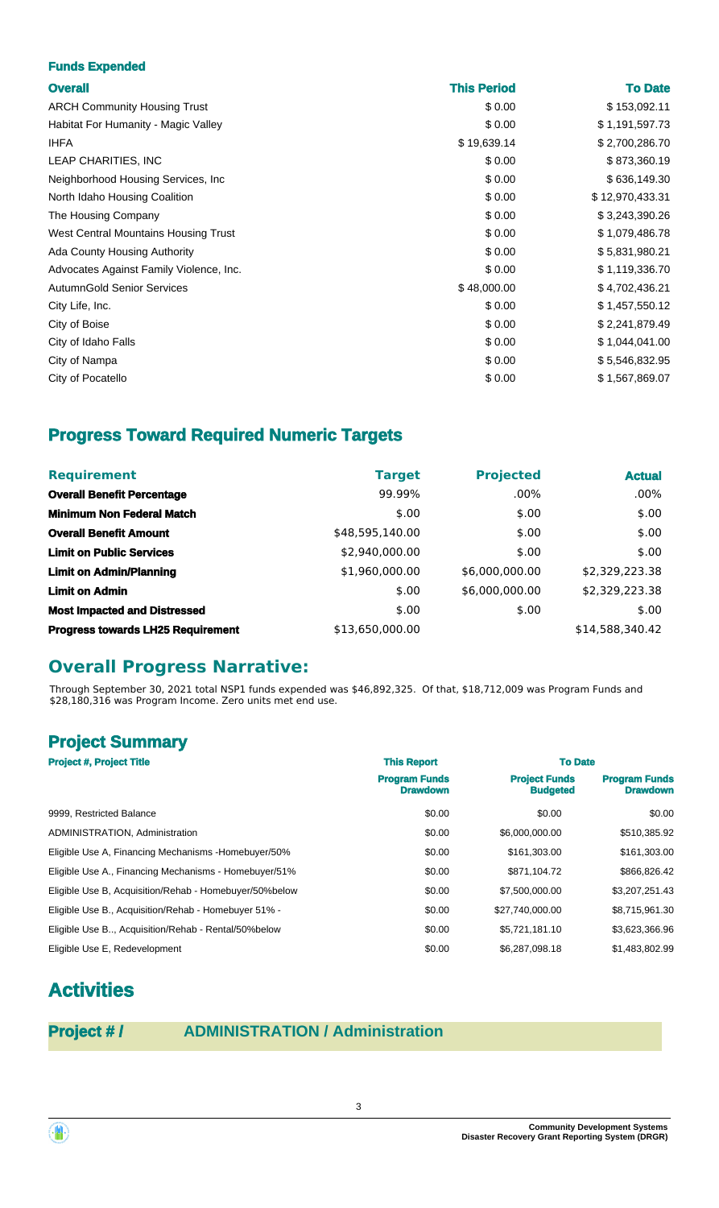#### **Funds Expended**

| v<br>v.<br>٠ |  |
|--------------|--|

| <b>Overall</b>                          | <b>This Period</b> | <b>To Date</b>  |
|-----------------------------------------|--------------------|-----------------|
| <b>ARCH Community Housing Trust</b>     | \$0.00             | \$153,092.11    |
| Habitat For Humanity - Magic Valley     | \$0.00             | \$1,191,597.73  |
| <b>IHFA</b>                             | \$19,639.14        | \$2,700,286.70  |
| LEAP CHARITIES, INC                     | \$0.00             | \$873,360.19    |
| Neighborhood Housing Services, Inc.     | \$0.00             | \$636,149.30    |
| North Idaho Housing Coalition           | \$0.00             | \$12,970,433.31 |
| The Housing Company                     | \$0.00             | \$3,243,390.26  |
| West Central Mountains Housing Trust    | \$0.00             | \$1,079,486.78  |
| Ada County Housing Authority            | \$0.00             | \$5,831,980.21  |
| Advocates Against Family Violence, Inc. | \$0.00             | \$1,119,336.70  |
| <b>AutumnGold Senior Services</b>       | \$48,000.00        | \$4,702,436.21  |
| City Life, Inc.                         | \$0.00             | \$1,457,550.12  |
| City of Boise                           | \$0.00             | \$2,241,879.49  |
| City of Idaho Falls                     | \$0.00             | \$1,044,041.00  |
| City of Nampa                           | \$0.00             | \$5,546,832.95  |
| City of Pocatello                       | \$0.00             | \$1,567,869.07  |
|                                         |                    |                 |

# **Progress Toward Required Numeric Targets**

| <b>Requirement</b>                       | <b>Target</b>   | <b>Projected</b> | <b>Actual</b>   |
|------------------------------------------|-----------------|------------------|-----------------|
| <b>Overall Benefit Percentage</b>        | 99.99%          | $.00\%$          | $.00\%$         |
| <b>Minimum Non Federal Match</b>         | \$.00           | \$.00            | \$.00           |
| <b>Overall Benefit Amount</b>            | \$48,595,140.00 | \$.00            | \$.00           |
| <b>Limit on Public Services</b>          | \$2,940,000.00  | \$.00            | \$.00           |
| <b>Limit on Admin/Planning</b>           | \$1,960,000.00  | \$6,000,000.00   | \$2,329,223.38  |
| <b>Limit on Admin</b>                    | \$.00           | \$6,000,000.00   | \$2,329,223.38  |
| <b>Most Impacted and Distressed</b>      | \$.00           | \$.00            | \$.00           |
| <b>Progress towards LH25 Requirement</b> | \$13,650,000.00 |                  | \$14,588,340.42 |

## **Overall Progress Narrative:**

Through September 30, 2021 total NSP1 funds expended was \$46,892,325. Of that, \$18,712,009 was Program Funds and \$28,180,316 was Program Income. Zero units met end use.

## **Project Summary**

| <b>Project #, Project Title</b>                        | <b>This Report</b>                      | <b>To Date</b>                          |                                         |
|--------------------------------------------------------|-----------------------------------------|-----------------------------------------|-----------------------------------------|
|                                                        | <b>Program Funds</b><br><b>Drawdown</b> | <b>Project Funds</b><br><b>Budgeted</b> | <b>Program Funds</b><br><b>Drawdown</b> |
| 9999, Restricted Balance                               | \$0.00                                  | \$0.00                                  | \$0.00                                  |
| ADMINISTRATION, Administration                         | \$0.00                                  | \$6,000,000.00                          | \$510,385.92                            |
| Eligible Use A, Financing Mechanisms - Homebuyer/50%   | \$0.00                                  | \$161,303.00                            | \$161,303.00                            |
| Eligible Use A., Financing Mechanisms - Homebuyer/51%  | \$0.00                                  | \$871.104.72                            | \$866,826.42                            |
| Eligible Use B, Acquisition/Rehab - Homebuyer/50%below | \$0.00                                  | \$7,500,000.00                          | \$3,207,251.43                          |
| Eligible Use B., Acquisition/Rehab - Homebuver 51% -   | \$0.00                                  | \$27,740,000.00                         | \$8,715,961.30                          |
| Eligible Use B, Acquisition/Rehab - Rental/50%below    | \$0.00                                  | \$5,721,181.10                          | \$3,623,366.96                          |
| Eligible Use E, Redevelopment                          | \$0.00                                  | \$6.287.098.18                          | \$1,483,802.99                          |

# **Activities**

## **Project # / ADMINISTRATION / Administration**

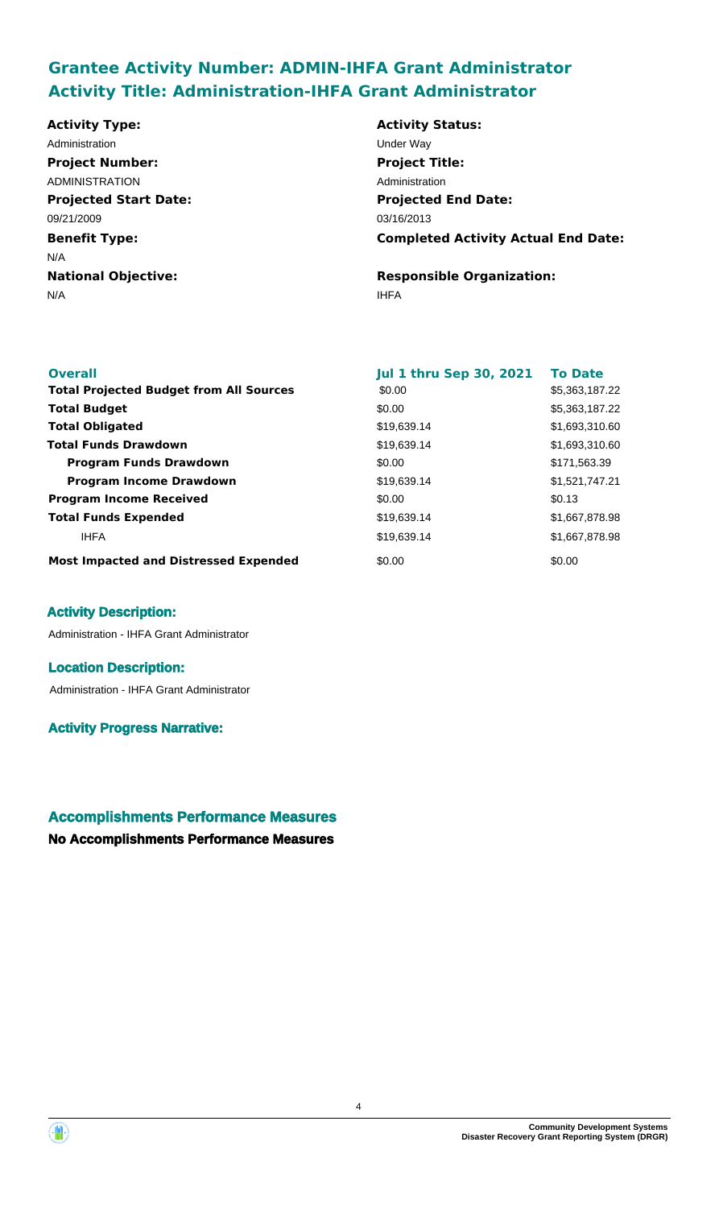# **Grantee Activity Number: ADMIN-IHFA Grant Administrator Activity Title: Administration-IHFA Grant Administrator**

**Projected Start Date: Benefit Type:** N/A IHFA **National Objective: Activity Type:** 09/21/2009 N/A Administration **Under Way Project Number:** ADMINISTRATION

**Activity Status: Projected End Date: Completed Activity Actual End Date:** 03/16/2013 **Project Title:** Administration

**Responsible Organization:**

| <b>Overall</b>                                 | <b>Jul 1 thru Sep 30, 2021</b> | <b>To Date</b> |
|------------------------------------------------|--------------------------------|----------------|
| <b>Total Projected Budget from All Sources</b> | \$0.00                         | \$5,363,187.22 |
| <b>Total Budget</b>                            | \$0.00                         | \$5,363,187.22 |
| <b>Total Obligated</b>                         | \$19,639.14                    | \$1,693,310.60 |
| <b>Total Funds Drawdown</b>                    | \$19,639.14                    | \$1,693,310.60 |
| <b>Program Funds Drawdown</b>                  | \$0.00                         | \$171,563.39   |
| <b>Program Income Drawdown</b>                 | \$19,639.14                    | \$1,521,747.21 |
| <b>Program Income Received</b>                 | \$0.00                         | \$0.13         |
| <b>Total Funds Expended</b>                    | \$19,639.14                    | \$1,667,878.98 |
| <b>IHFA</b>                                    | \$19,639.14                    | \$1,667,878.98 |
| <b>Most Impacted and Distressed Expended</b>   | \$0.00                         | \$0.00         |

#### **Activity Description:**

Administration - IHFA Grant Administrator

#### **Location Description:**

Administration - IHFA Grant Administrator

#### **Activity Progress Narrative:**

## **Accomplishments Performance Measures**



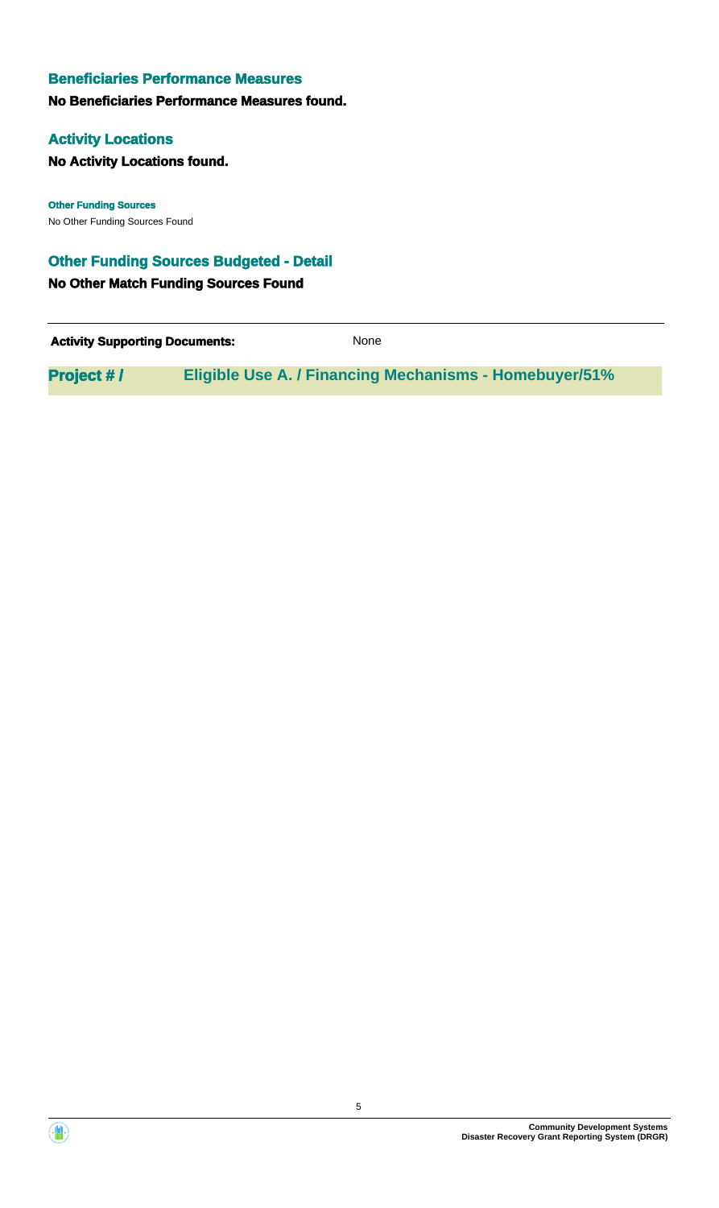#### **No Beneficiaries Performance Measures found.**

#### **Activity Locations**

**No Activity Locations found.**

No Other Funding Sources Found **Other Funding Sources**

## **Other Funding Sources Budgeted - Detail**

**No Other Match Funding Sources Found**

| <b>Activity Supporting Documents:</b> | <b>None</b>                                                   |
|---------------------------------------|---------------------------------------------------------------|
| <b>Project #/</b>                     | <b>Eligible Use A. / Financing Mechanisms - Homebuyer/51%</b> |



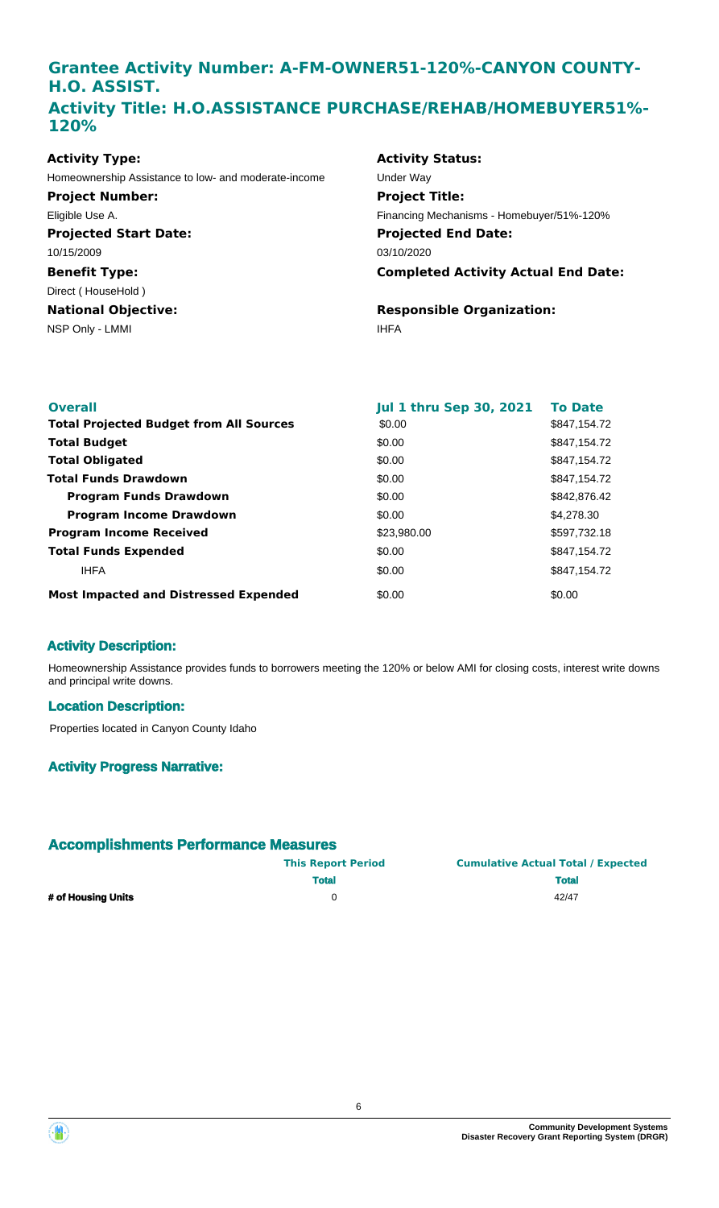## **Grantee Activity Number: A-FM-OWNER51-120%-CANYON COUNTY-H.O. ASSIST. Activity Title: H.O.ASSISTANCE PURCHASE/REHAB/HOMEBUYER51%- 120%**

| <b>Activity Type:</b>                                | Acti        |
|------------------------------------------------------|-------------|
| Homeownership Assistance to low- and moderate-income | Unde        |
| <b>Project Number:</b>                               | Pro         |
| Eligible Use A.                                      | Finar       |
| <b>Projected Start Date:</b>                         | Pro         |
| 10/15/2009                                           | 03/10       |
| <b>Benefit Type:</b>                                 | Con         |
| Direct (HouseHold)                                   |             |
| <b>National Objective:</b>                           | Res         |
| NSP Only - LMMI                                      | <b>IHFA</b> |

## **Activity Status: Projected End Date: Completed Activity Actual End Date:** 03/10/2020 Under Way **Project Title:** Financing Mechanisms - Homebuyer/51%-120%

**Responsible Organization:**

| <b>Overall</b>                                 | <b>Jul 1 thru Sep 30, 2021</b> | <b>To Date</b> |
|------------------------------------------------|--------------------------------|----------------|
| <b>Total Projected Budget from All Sources</b> | \$0.00                         | \$847,154.72   |
| <b>Total Budget</b>                            | \$0.00                         | \$847,154.72   |
| <b>Total Obligated</b>                         | \$0.00                         | \$847,154.72   |
| <b>Total Funds Drawdown</b>                    | \$0.00                         | \$847,154.72   |
| <b>Program Funds Drawdown</b>                  | \$0.00                         | \$842,876,42   |
| <b>Program Income Drawdown</b>                 | \$0.00                         | \$4,278,30     |
| <b>Program Income Received</b>                 | \$23,980.00                    | \$597,732.18   |
| <b>Total Funds Expended</b>                    | \$0.00                         | \$847,154.72   |
| <b>IHFA</b>                                    | \$0.00                         | \$847.154.72   |
| <b>Most Impacted and Distressed Expended</b>   | \$0.00                         | \$0.00         |

## **Activity Description:**

Homeownership Assistance provides funds to borrowers meeting the 120% or below AMI for closing costs, interest write downs and principal write downs.

#### **Location Description:**

Properties located in Canyon County Idaho

## **Activity Progress Narrative:**

|                    | <b>This Report Period</b> | <b>Cumulative Actual Total / Expected</b> |
|--------------------|---------------------------|-------------------------------------------|
|                    | <b>Total</b>              | <b>Total</b>                              |
| # of Housing Units |                           | 42/47                                     |



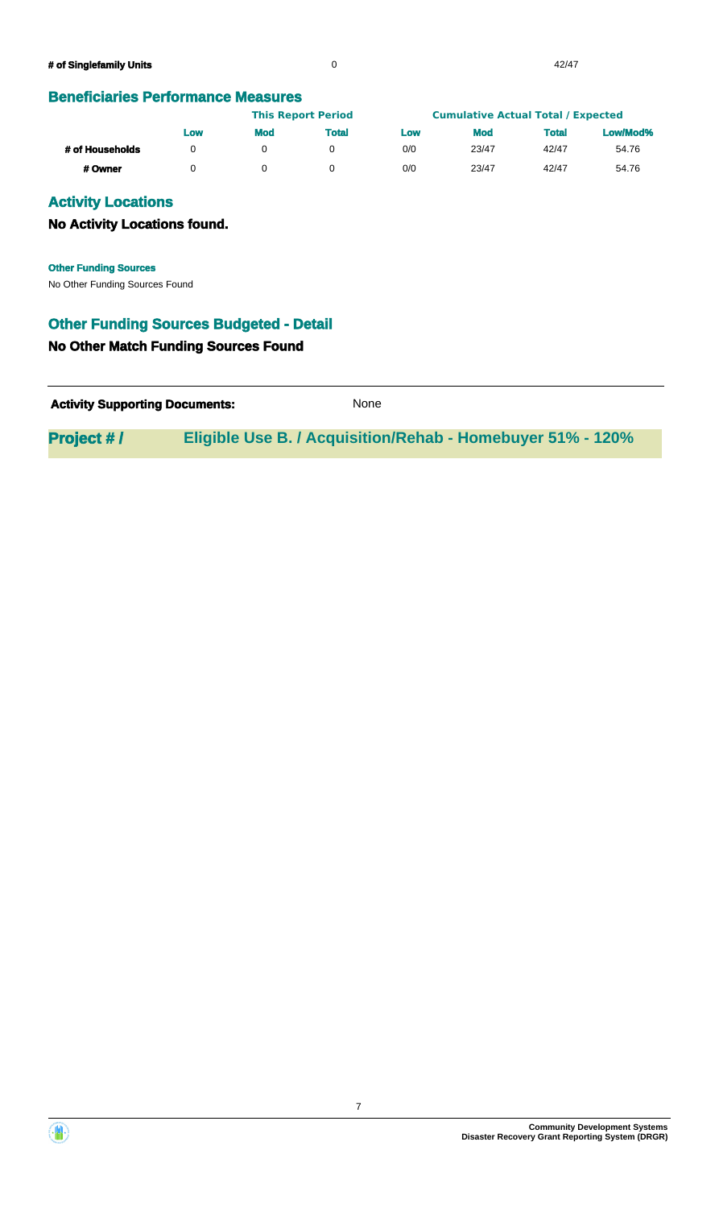|                 | <b>This Report Period</b> |            |       | <b>Cumulative Actual Total / Expected</b> |            |       |          |
|-----------------|---------------------------|------------|-------|-------------------------------------------|------------|-------|----------|
|                 | Low                       | <b>Mod</b> | Total | Low                                       | <b>Mod</b> | Total | Low/Mod% |
| # of Households |                           |            |       | 0/0                                       | 23/47      | 42/47 | 54.76    |
| # Owner         |                           |            |       | 0/0                                       | 23/47      | 42/47 | 54.76    |

## **Activity Locations**

#### **No Activity Locations found.**

No Other Funding Sources Found **Other Funding Sources**

#### **Other Funding Sources Budgeted - Detail**

#### **No Other Match Funding Sources Found**

| <b>Activity Supporting Documents:</b> | None |
|---------------------------------------|------|
|---------------------------------------|------|

**Project # / Eligible Use B. / Acquisition/Rehab - Homebuyer 51% - 120%**



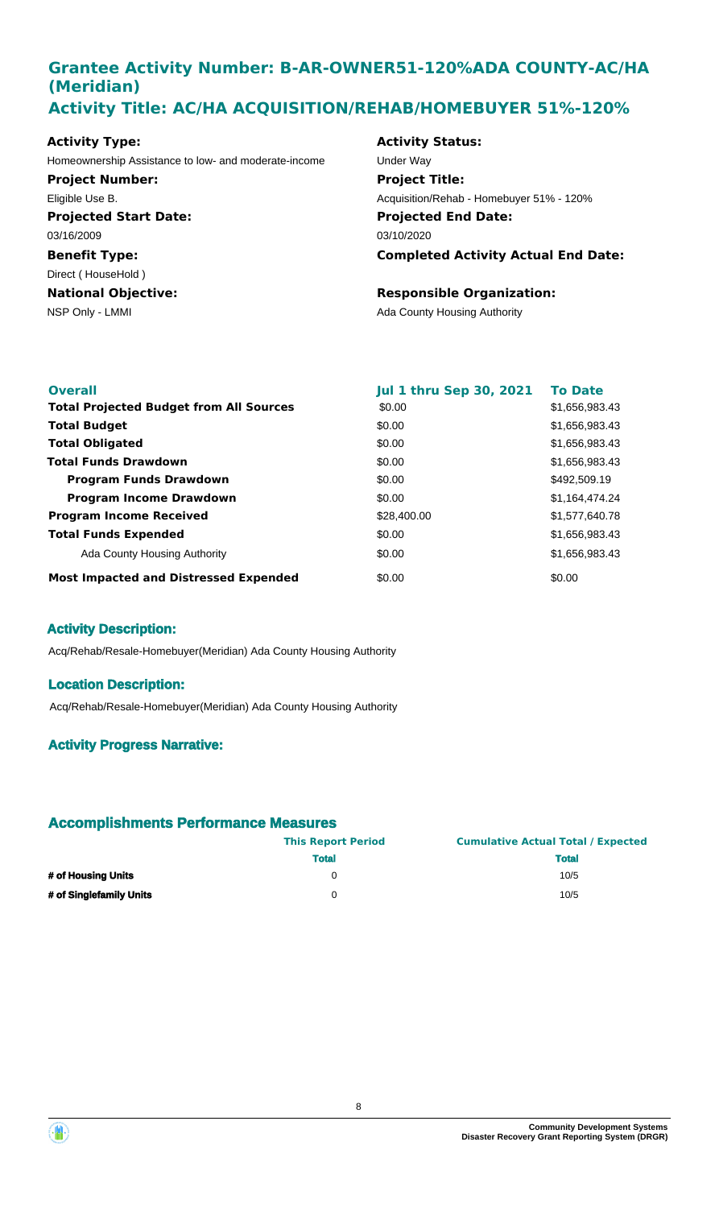## **Grantee Activity Number: B-AR-OWNER51-120%ADA COUNTY-AC/HA (Meridian) Activity Title: AC/HA ACQUISITION/REHAB/HOMEBUYER 51%-120%**

#### **Activity Type:**

**Projected Start Date: Benefit Type:** 03/16/2009 Homeownership Assistance to low- and moderate-income Under Way **Project Number:** Eligible Use B.

## Direct ( HouseHold )

**National Objective:**

#### **Activity Status:**

**Projected End Date: Completed Activity Actual End Date:** 03/10/2020 **Project Title:** Acquisition/Rehab - Homebuyer 51% - 120%

#### **Responsible Organization:**

NSP Only - LMMI **NSP Only - LMMI** Ada County Housing Authority

| <b>Overall</b>                                 | <b>Jul 1 thru Sep 30, 2021</b> | <b>To Date</b> |
|------------------------------------------------|--------------------------------|----------------|
| <b>Total Projected Budget from All Sources</b> | \$0.00                         | \$1,656,983.43 |
| <b>Total Budget</b>                            | \$0.00                         | \$1,656,983.43 |
| <b>Total Obligated</b>                         | \$0.00                         | \$1,656,983.43 |
| <b>Total Funds Drawdown</b>                    | \$0.00                         | \$1,656,983.43 |
| <b>Program Funds Drawdown</b>                  | \$0.00                         | \$492,509.19   |
| <b>Program Income Drawdown</b>                 | \$0.00                         | \$1,164,474.24 |
| <b>Program Income Received</b>                 | \$28,400.00                    | \$1,577,640.78 |
| <b>Total Funds Expended</b>                    | \$0.00                         | \$1,656,983.43 |
| Ada County Housing Authority                   | \$0.00                         | \$1,656,983.43 |
| <b>Most Impacted and Distressed Expended</b>   | \$0.00                         | \$0.00         |

## **Activity Description:**

Acq/Rehab/Resale-Homebuyer(Meridian) Ada County Housing Authority

#### **Location Description:**

Acq/Rehab/Resale-Homebuyer(Meridian) Ada County Housing Authority

## **Activity Progress Narrative:**

|                         | <b>This Report Period</b> | <b>Cumulative Actual Total / Expected</b> |
|-------------------------|---------------------------|-------------------------------------------|
|                         | <b>Total</b>              | <b>Total</b>                              |
| # of Housing Units      |                           | 10/5                                      |
| # of Singlefamily Units | $^{(1)}$                  | 10/5                                      |

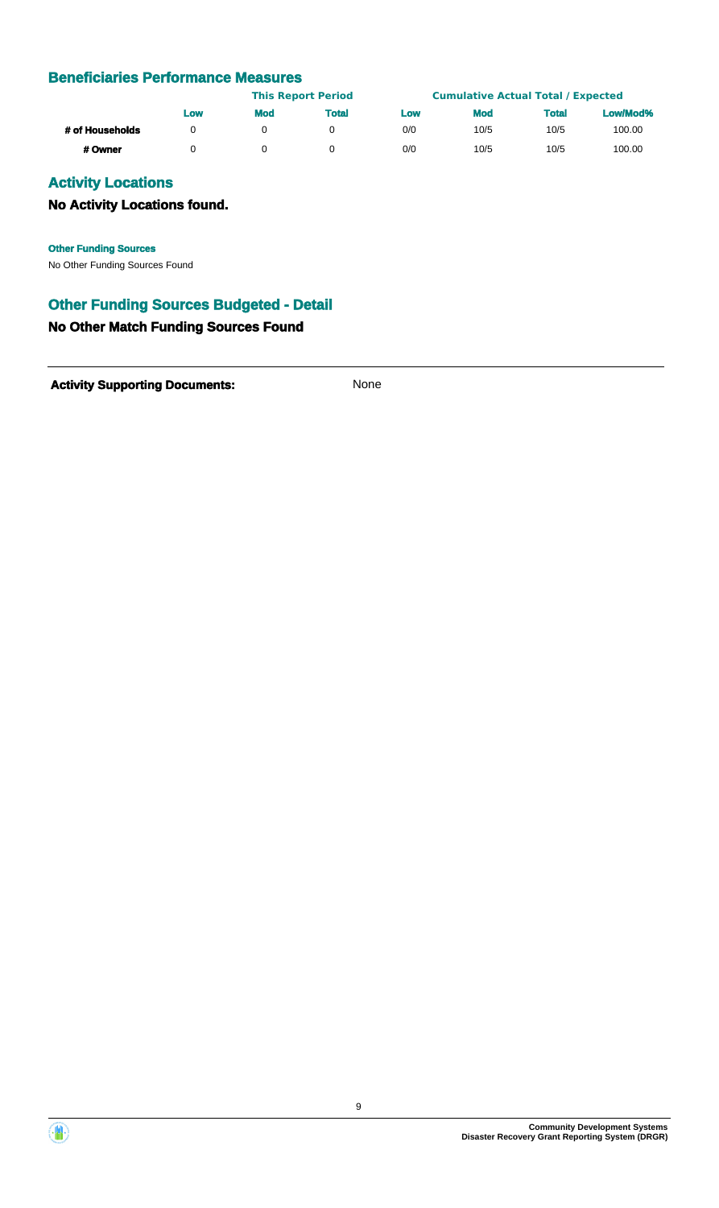|                 | <b>This Report Period</b> |            |              | <b>Cumulative Actual Total / Expected</b> |            |              |          |
|-----------------|---------------------------|------------|--------------|-------------------------------------------|------------|--------------|----------|
|                 | Low                       | <b>Mod</b> | <b>Total</b> | Low                                       | <b>Mod</b> | <b>Total</b> | Low/Mod% |
| # of Households | n                         |            |              | 0/0                                       | 10/5       | 10/5         | 100.00   |
| # Owner         |                           |            |              | 0/0                                       | 10/5       | 10/5         | 100.00   |

## **Activity Locations**

## **No Activity Locations found.**

**Other Funding Sources**

No Other Funding Sources Found

## **Other Funding Sources Budgeted - Detail**

#### **No Other Match Funding Sources Found**

Activity **Supporting Documents:** None



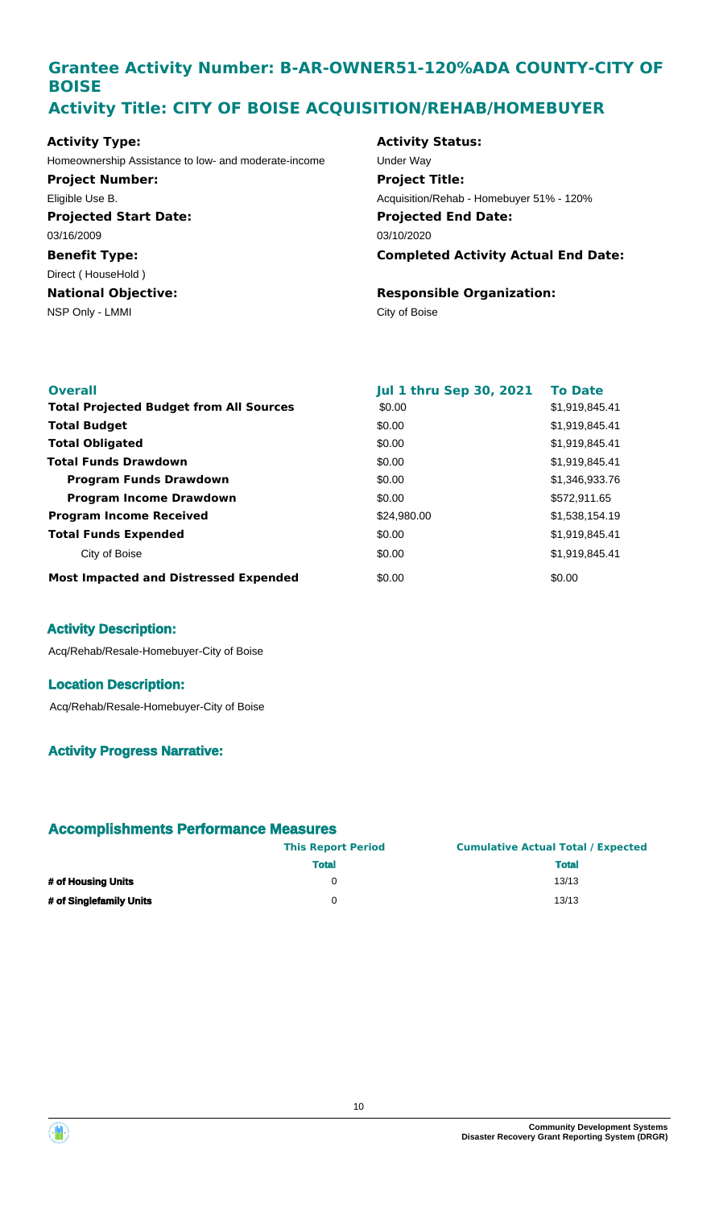## **Grantee Activity Number: B-AR-OWNER51-120%ADA COUNTY-CITY OF BOISE Activity Title: CITY OF BOISE ACQUISITION/REHAB/HOMEBUYER**

#### **Activity Type:**

Homeownership Assistance to low- and moderate-income Under Way **Project Number:** Eligible Use B.

**Projected Start Date: Benefit Type:** NSP Only - LMMI City of Boise **National Objective:** 03/16/2009 Direct ( HouseHold )

#### **Activity Status:**

**Projected End Date: Completed Activity Actual End Date:** 03/10/2020 **Project Title:** Acquisition/Rehab - Homebuyer 51% - 120%

## **Responsible Organization:**

| <b>Overall</b>                                 | <b>Jul 1 thru Sep 30, 2021</b> | <b>To Date</b> |
|------------------------------------------------|--------------------------------|----------------|
| <b>Total Projected Budget from All Sources</b> | \$0.00                         | \$1,919,845.41 |
| <b>Total Budget</b>                            | \$0.00                         | \$1,919,845.41 |
| <b>Total Obligated</b>                         | \$0.00                         | \$1,919,845.41 |
| <b>Total Funds Drawdown</b>                    | \$0.00                         | \$1,919,845.41 |
| <b>Program Funds Drawdown</b>                  | \$0.00                         | \$1,346,933.76 |
| <b>Program Income Drawdown</b>                 | \$0.00                         | \$572,911.65   |
| <b>Program Income Received</b>                 | \$24,980.00                    | \$1,538,154.19 |
| <b>Total Funds Expended</b>                    | \$0.00                         | \$1,919,845.41 |
| City of Boise                                  | \$0.00                         | \$1,919,845.41 |
| <b>Most Impacted and Distressed Expended</b>   | \$0.00                         | \$0.00         |

## **Activity Description:**

Acq/Rehab/Resale-Homebuyer-City of Boise

#### **Location Description:**

Acq/Rehab/Resale-Homebuyer-City of Boise

## **Activity Progress Narrative:**

|                         | <b>This Report Period</b> | <b>Cumulative Actual Total / Expected</b> |
|-------------------------|---------------------------|-------------------------------------------|
|                         | <b>Total</b>              | <b>Total</b>                              |
| # of Housing Units      |                           | 13/13                                     |
| # of Singlefamily Units |                           | 13/13                                     |

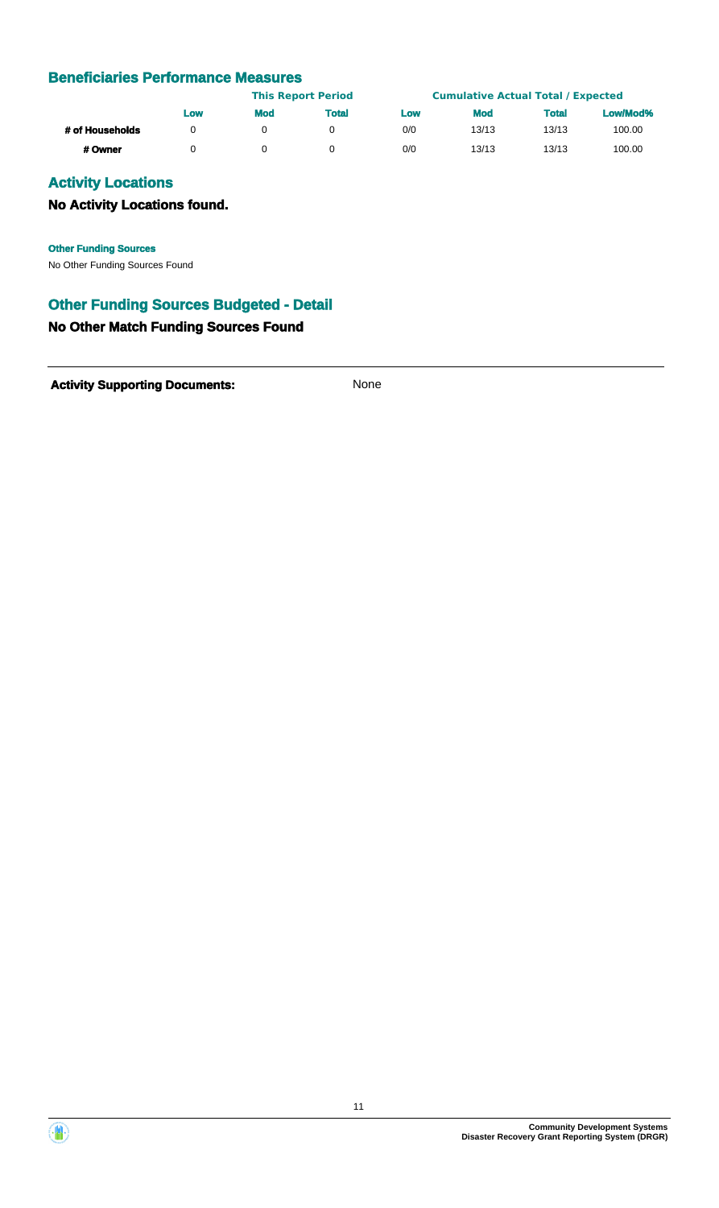|                 |     |            | <b>This Report Period</b> |     | <b>Cumulative Actual Total / Expected</b> |              |          |
|-----------------|-----|------------|---------------------------|-----|-------------------------------------------|--------------|----------|
|                 | Low | <b>Mod</b> | <b>Total</b>              | Low | <b>Mod</b>                                | <b>Total</b> | Low/Mod% |
| # of Households |     |            |                           | 0/0 | 13/13                                     | 13/13        | 100.00   |
| # Owner         |     |            |                           | 0/0 | 13/13                                     | 13/13        | 100.00   |

## **Activity Locations**

## **No Activity Locations found.**

**Other Funding Sources**

No Other Funding Sources Found

## **Other Funding Sources Budgeted - Detail**

#### **No Other Match Funding Sources Found**

Activity **Supporting Documents:** None

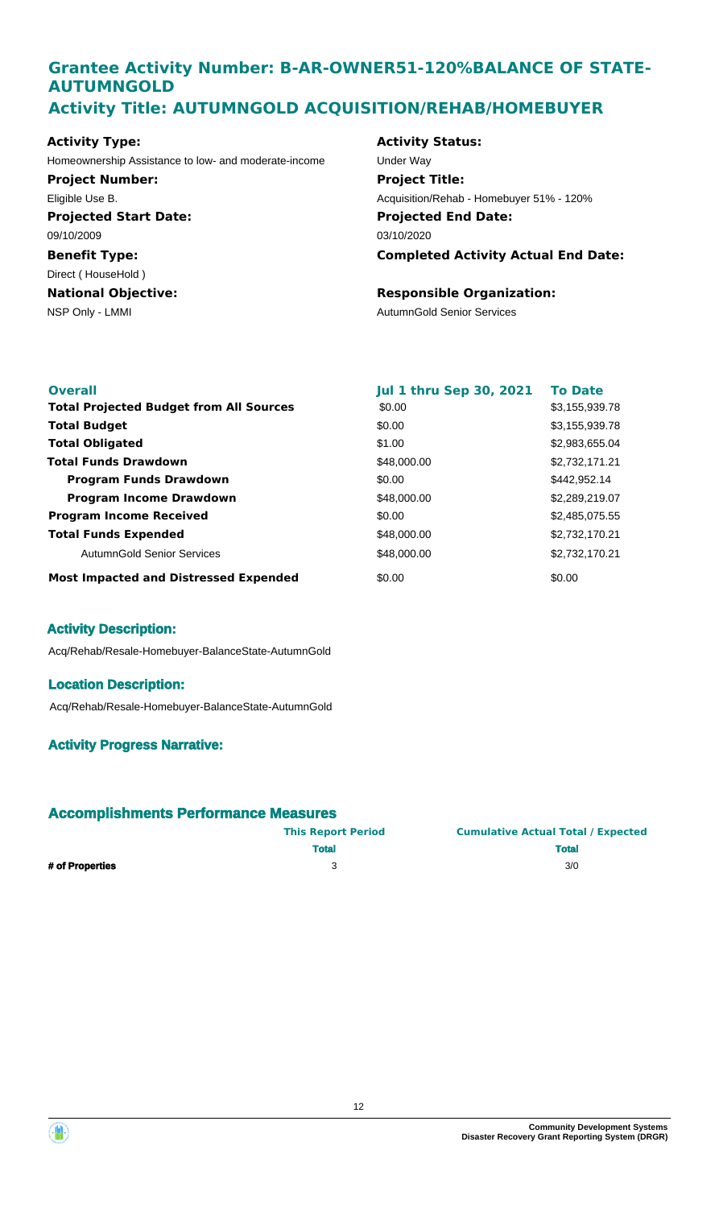## **Grantee Activity Number: B-AR-OWNER51-120%BALANCE OF STATE-AUTUMNGOLD Activity Title: AUTUMNGOLD ACQUISITION/REHAB/HOMEBUYER**

#### **Activity Type:**

Homeownership Assistance to low- and moderate-income Under Way **Project Number:** Eligible Use B.

**Projected Start Date: Benefit Type: National Objective:** 09/10/2009 Direct ( HouseHold )

#### **Activity Status:**

**Projected End Date: Completed Activity Actual End Date:** 03/10/2020 **Project Title:** Acquisition/Rehab - Homebuyer 51% - 120%

#### **Responsible Organization:**

NSP Only - LMMI and the contract of the contract of the AutumnGold Senior Services

| <b>Overall</b>                                 | <b>Jul 1 thru Sep 30, 2021</b> | <b>To Date</b> |
|------------------------------------------------|--------------------------------|----------------|
| <b>Total Projected Budget from All Sources</b> | \$0.00                         | \$3,155,939.78 |
| <b>Total Budget</b>                            | \$0.00                         | \$3,155,939.78 |
| <b>Total Obligated</b>                         | \$1.00                         | \$2,983,655.04 |
| <b>Total Funds Drawdown</b>                    | \$48,000.00                    | \$2,732,171.21 |
| <b>Program Funds Drawdown</b>                  | \$0.00                         | \$442,952.14   |
| <b>Program Income Drawdown</b>                 | \$48,000.00                    | \$2,289,219.07 |
| <b>Program Income Received</b>                 | \$0.00                         | \$2,485,075.55 |
| <b>Total Funds Expended</b>                    | \$48,000.00                    | \$2,732,170.21 |
| <b>AutumnGold Senior Services</b>              | \$48,000.00                    | \$2,732,170.21 |
| <b>Most Impacted and Distressed Expended</b>   | \$0.00                         | \$0.00         |

## **Activity Description:**

Acq/Rehab/Resale-Homebuyer-BalanceState-AutumnGold

#### **Location Description:**

Acq/Rehab/Resale-Homebuyer-BalanceState-AutumnGold

## **Activity Progress Narrative:**

|                 | <b>This Report Period</b> | <b>Cumulative Actual Total / Expected</b> |
|-----------------|---------------------------|-------------------------------------------|
|                 | <b>Total</b>              | <b>Total</b>                              |
| # of Properties | з                         | 3/0                                       |

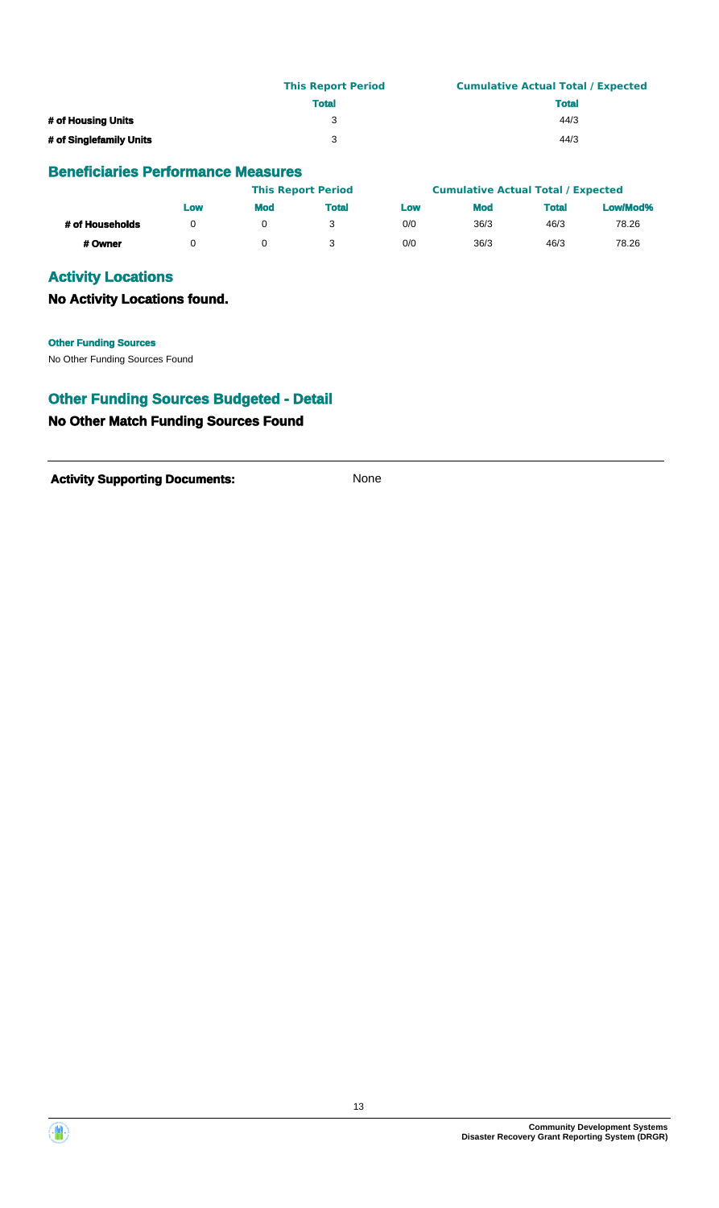|                         | <b>This Report Period</b> | <b>Cumulative Actual Total / Expected</b> |
|-------------------------|---------------------------|-------------------------------------------|
|                         | <b>Total</b>              | <b>Total</b>                              |
| # of Housing Units      | 3                         | 44/3                                      |
| # of Singlefamily Units | વ                         | 44/3                                      |

|                 |     |            | <b>This Report Period</b> |     | <b>Cumulative Actual Total / Expected</b> |              |          |
|-----------------|-----|------------|---------------------------|-----|-------------------------------------------|--------------|----------|
|                 | LOW | <b>Mod</b> | Total                     | Low | <b>Mod</b>                                | <b>Total</b> | Low/Mod% |
| # of Households |     |            |                           | 0/0 | 36/3                                      | 46/3         | 78.26    |
| # Owner         |     |            |                           | 0/0 | 36/3                                      | 46/3         | 78.26    |

## **Activity Locations**

**No Activity Locations found.**

#### **Other Funding Sources**

No Other Funding Sources Found

## **Other Funding Sources Budgeted - Detail**

## **No Other Match Funding Sources Found**

**Activity Supporting Documents:** None



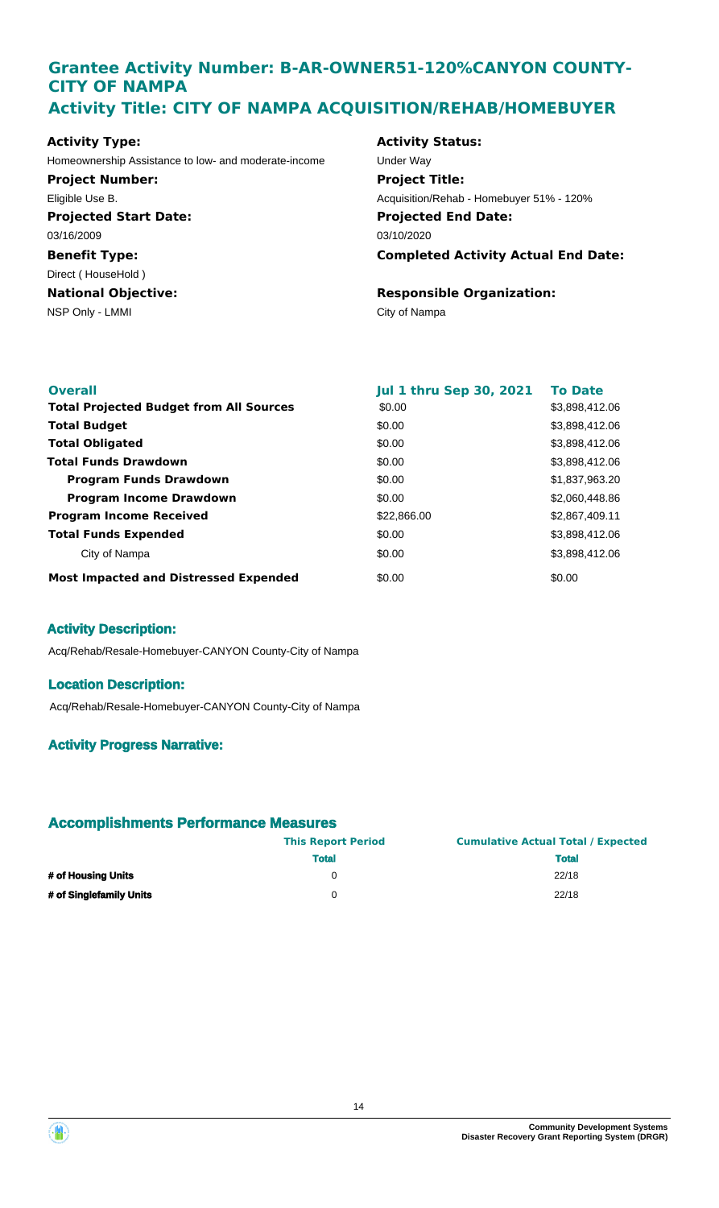## **Grantee Activity Number: B-AR-OWNER51-120%CANYON COUNTY-CITY OF NAMPA Activity Title: CITY OF NAMPA ACQUISITION/REHAB/HOMEBUYER**

**Projected Start Date: Benefit Type:** NSP Only - LMMI City of Nampa **National Objective: Activity Type:** 03/16/2009 Direct ( HouseHold ) Homeownership Assistance to low- and moderate-income Under Way **Project Number:** Eligible Use B.

#### **Activity Status:**

**Projected End Date: Completed Activity Actual End Date:** 03/10/2020 **Project Title:** Acquisition/Rehab - Homebuyer 51% - 120%

## **Responsible Organization:**

| <b>Overall</b>                                 | <b>Jul 1 thru Sep 30, 2021</b> | <b>To Date</b> |
|------------------------------------------------|--------------------------------|----------------|
| <b>Total Projected Budget from All Sources</b> | \$0.00                         | \$3,898,412.06 |
| <b>Total Budget</b>                            | \$0.00                         | \$3,898,412.06 |
| <b>Total Obligated</b>                         | \$0.00                         | \$3,898,412.06 |
| <b>Total Funds Drawdown</b>                    | \$0.00                         | \$3,898,412.06 |
| <b>Program Funds Drawdown</b>                  | \$0.00                         | \$1,837,963.20 |
| <b>Program Income Drawdown</b>                 | \$0.00                         | \$2,060,448.86 |
| <b>Program Income Received</b>                 | \$22,866.00                    | \$2,867,409.11 |
| <b>Total Funds Expended</b>                    | \$0.00                         | \$3,898,412.06 |
| City of Nampa                                  | \$0.00                         | \$3,898,412.06 |
| <b>Most Impacted and Distressed Expended</b>   | \$0.00                         | \$0.00         |

## **Activity Description:**

Acq/Rehab/Resale-Homebuyer-CANYON County-City of Nampa

#### **Location Description:**

Acq/Rehab/Resale-Homebuyer-CANYON County-City of Nampa

## **Activity Progress Narrative:**

|                         | <b>This Report Period</b> | <b>Cumulative Actual Total / Expected</b> |
|-------------------------|---------------------------|-------------------------------------------|
|                         | <b>Total</b>              | <b>Total</b>                              |
| # of Housing Units      |                           | 22/18                                     |
| # of Singlefamily Units | O                         | 22/18                                     |



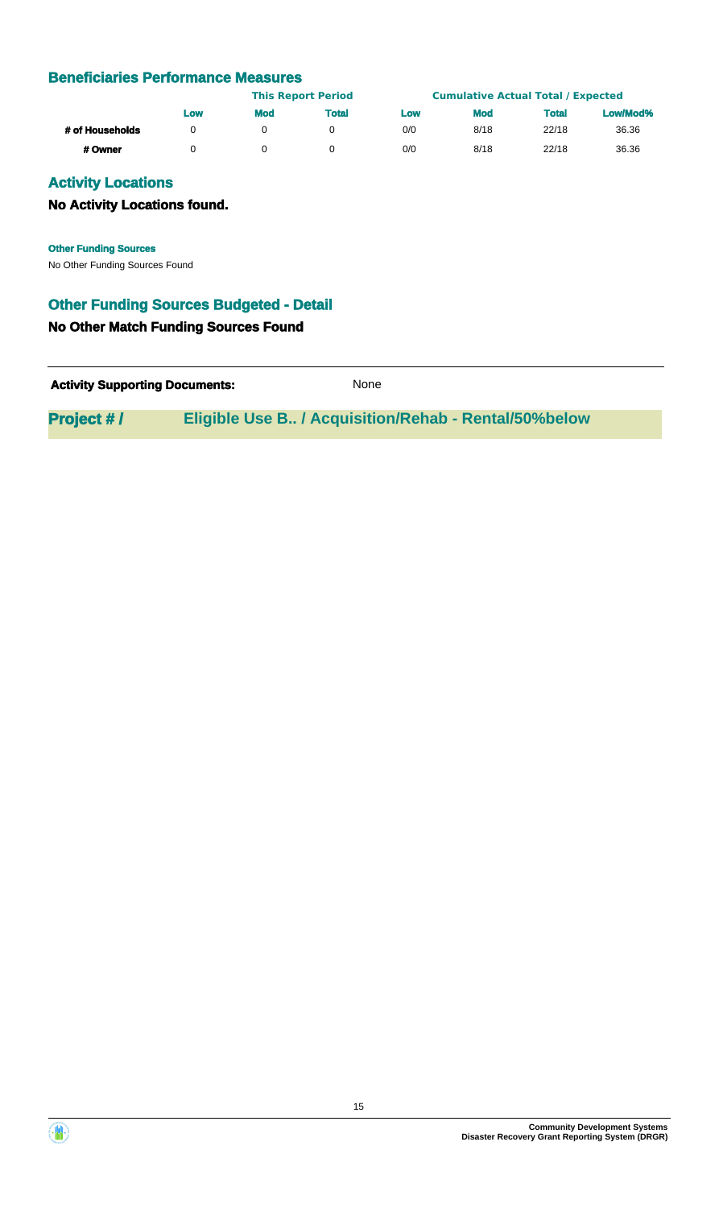|                 | <b>This Report Period</b> |     |              | <b>Cumulative Actual Total / Expected</b> |            |              |          |
|-----------------|---------------------------|-----|--------------|-------------------------------------------|------------|--------------|----------|
|                 | Low                       | Mod | <b>Total</b> | Low                                       | <b>Mod</b> | <b>Total</b> | Low/Mod% |
| # of Households |                           |     |              | 0/0                                       | 8/18       | 22/18        | 36.36    |
| # Owner         |                           |     |              | 0/0                                       | 8/18       | 22/18        | 36.36    |

## **Activity Locations**

#### **No Activity Locations found.**

**Other Funding Sources**

No Other Funding Sources Found

## **Other Funding Sources Budgeted - Detail**

#### **No Other Match Funding Sources Found**

| <b>Activity Supporting Documents:</b> | None |
|---------------------------------------|------|
|                                       |      |

**Project # / Eligible Use B.. / Acquisition/Rehab - Rental/50%below**



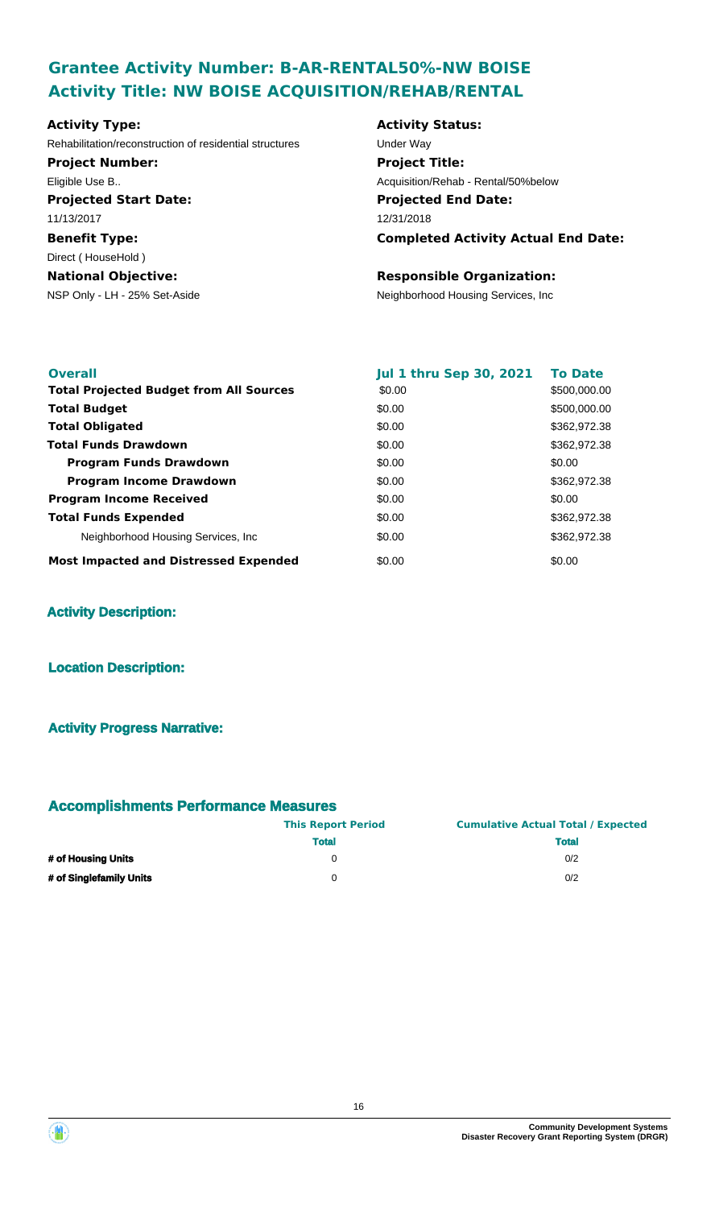# **Grantee Activity Number: B-AR-RENTAL50%-NW BOISE Activity Title: NW BOISE ACQUISITION/REHAB/RENTAL**

## **Projected Start Date: Benefit Type:** NSP Only - LH - 25% Set-Aside Neighborhood Housing Services, Inc **National Objective: Activity Type:** 11/13/2017 Direct ( HouseHold ) Rehabilitation/reconstruction of residential structures Under Way **Project Number:** Eligible Use B..

## **Activity Status: Projected End Date: Completed Activity Actual End Date:** 12/31/2018 **Project Title:** Acquisition/Rehab - Rental/50%below

## **Responsible Organization:**

| <b>Overall</b><br><b>Total Projected Budget from All Sources</b> | <b>Jul 1 thru Sep 30, 2021</b><br>\$0.00 | <b>To Date</b><br>\$500,000.00 |
|------------------------------------------------------------------|------------------------------------------|--------------------------------|
| <b>Total Budget</b>                                              | \$0.00                                   | \$500,000.00                   |
| <b>Total Obligated</b>                                           | \$0.00                                   | \$362,972.38                   |
| <b>Total Funds Drawdown</b>                                      | \$0.00                                   | \$362,972.38                   |
| <b>Program Funds Drawdown</b>                                    | \$0.00                                   | \$0.00                         |
| <b>Program Income Drawdown</b>                                   | \$0.00                                   | \$362,972.38                   |
| <b>Program Income Received</b>                                   | \$0.00                                   | \$0.00                         |
| <b>Total Funds Expended</b>                                      | \$0.00                                   | \$362,972.38                   |
| Neighborhood Housing Services, Inc.                              | \$0.00                                   | \$362,972.38                   |
| <b>Most Impacted and Distressed Expended</b>                     | \$0.00                                   | \$0.00                         |

## **Activity Description:**

#### **Location Description:**

## **Activity Progress Narrative:**

|                         | <b>This Report Period</b> | <b>Cumulative Actual Total / Expected</b> |  |  |
|-------------------------|---------------------------|-------------------------------------------|--|--|
|                         | <b>Total</b>              | <b>Total</b>                              |  |  |
| # of Housing Units      |                           | 0/2                                       |  |  |
| # of Singlefamily Units |                           | 0/2                                       |  |  |

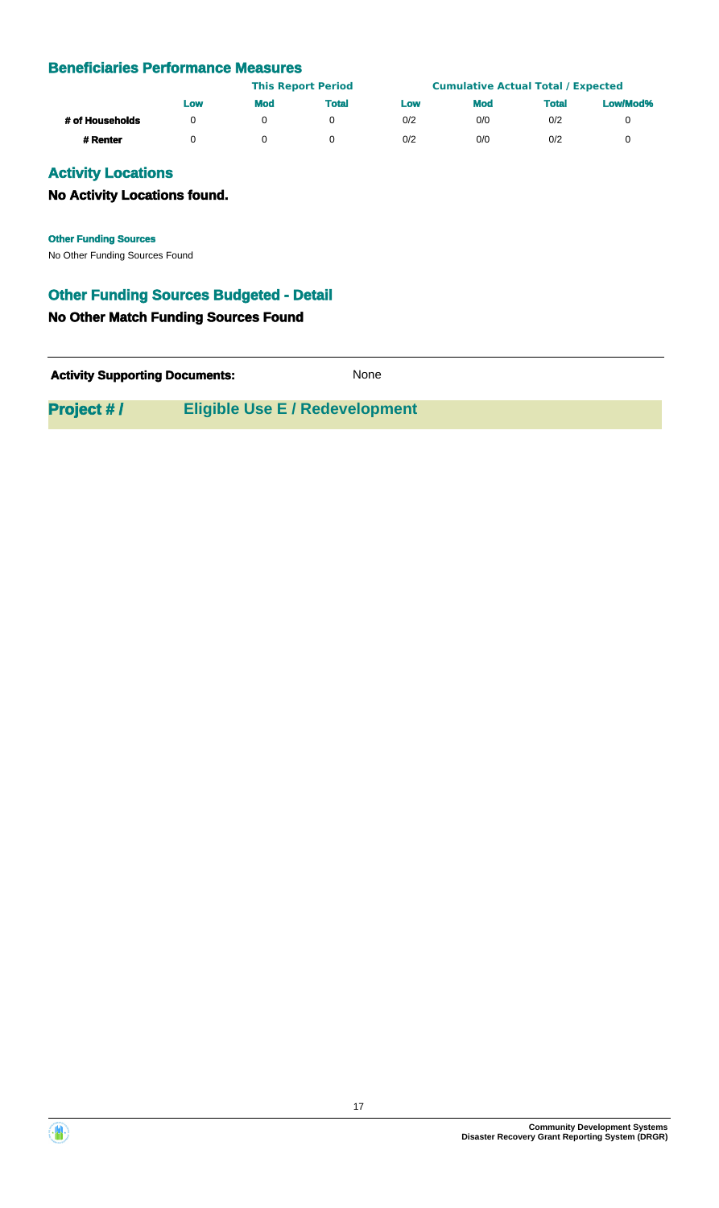|                 | Low | <b>This Report Period</b> |              |     | <b>Cumulative Actual Total / Expected</b> |              |          |
|-----------------|-----|---------------------------|--------------|-----|-------------------------------------------|--------------|----------|
|                 |     | <b>Mod</b>                | <b>Total</b> | Low | <b>Mod</b>                                | <b>Total</b> | Low/Mod% |
| # of Households |     |                           |              | 0/2 | 0/0                                       | 0/2          |          |
| # Renter        |     |                           |              | 0/2 | 0/0                                       | 0/2          |          |

## **Activity Locations**

## **No Activity Locations found.**

**Other Funding Sources**

No Other Funding Sources Found

## **Other Funding Sources Budgeted - Detail**

#### **No Other Match Funding Sources Found**

**Activity Supporting Documents:** None

**Project #/ Fligible Use E / Redevelopment** 



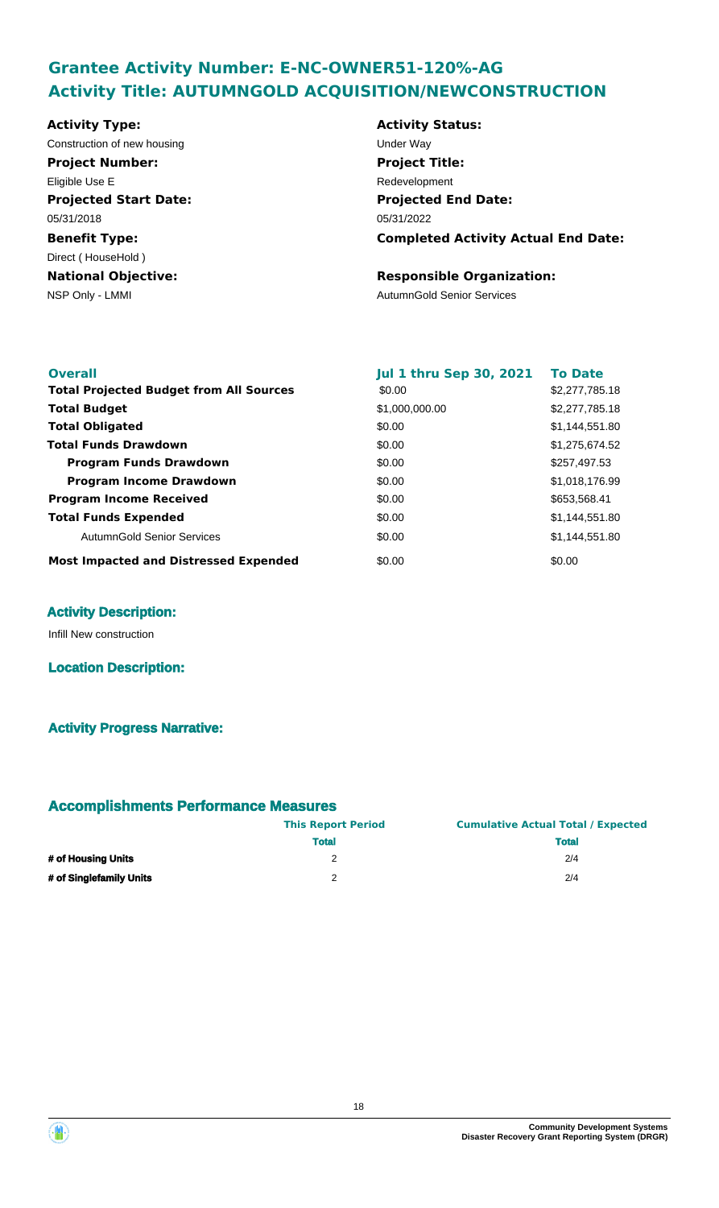# **Grantee Activity Number: E-NC-OWNER51-120%-AG Activity Title: AUTUMNGOLD ACQUISITION/NEWCONSTRUCTION**

**Activity Type:** Construction of new housing Theorem 2012 Construction of the Way

**Projected Start Date:** 05/31/2018 **Project Number:** Eligible Use E

**Benefit Type: National Objective:** Direct ( HouseHold )

**Activity Status: Projected End Date: Completed Activity Actual End Date:** 05/31/2022 **Project Title:** Redevelopment

#### **Responsible Organization:**

NSP Only - LMMI and the contract of the contract of the AutumnGold Senior Services

| <b>Overall</b>                                 | <b>Jul 1 thru Sep 30, 2021</b> | <b>To Date</b> |
|------------------------------------------------|--------------------------------|----------------|
| <b>Total Projected Budget from All Sources</b> | \$0.00                         | \$2,277,785.18 |
| <b>Total Budget</b>                            | \$1,000,000.00                 | \$2,277,785.18 |
| <b>Total Obligated</b>                         | \$0.00                         | \$1,144,551.80 |
| Total Funds Drawdown                           | \$0.00                         | \$1,275,674.52 |
| <b>Program Funds Drawdown</b>                  | \$0.00                         | \$257,497.53   |
| <b>Program Income Drawdown</b>                 | \$0.00                         | \$1,018,176.99 |
| <b>Program Income Received</b>                 | \$0.00                         | \$653,568.41   |
| <b>Total Funds Expended</b>                    | \$0.00                         | \$1,144,551.80 |
| AutumnGold Senior Services                     | \$0.00                         | \$1,144,551.80 |
| <b>Most Impacted and Distressed Expended</b>   | \$0.00                         | \$0.00         |

## **Activity Description:**

Infill New construction

**Location Description:**

## **Activity Progress Narrative:**

|                         | <b>This Report Period</b> | <b>Cumulative Actual Total / Expected</b> |  |  |
|-------------------------|---------------------------|-------------------------------------------|--|--|
|                         | <b>Total</b>              | <b>Total</b>                              |  |  |
| # of Housing Units      | 2                         | 2/4                                       |  |  |
| # of Singlefamily Units | າ                         | 2/4                                       |  |  |